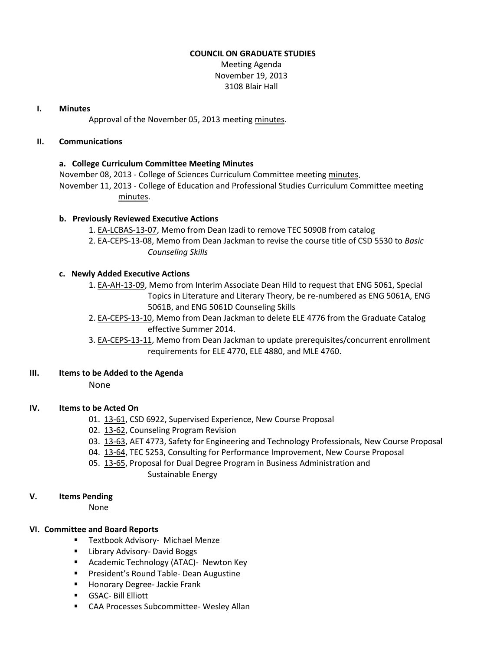### **COUNCIL ON GRADUATE STUDIES**

Meeting Agenda November 19, 2013 3108 Blair Hall

### **I. Minutes**

Approval of the November 05, 2013 meeting [minutes.](http://castle.eiu.edu/eiucgs/currentminutes/Minutes11-05-13.pdf)

### **II. Communications**

### **a. College Curriculum Committee Meeting Minutes**

November 08, 2013 - College of Sciences Curriculum Committee meeting [minutes.](http://castle.eiu.edu/~eiucgs/currentagendaitems/COSMin11-08-13.pdf) November 11, 2013 - College of Education and Professional Studies Curriculum Committee meeting [minutes.](http://castle.eiu.edu/~eiucgs/currentagendaitems/CEPSMin11-11-13.pdf)

### **b. Previously Reviewed Executive Actions**

- 1. [EA-LCBAS-13-07,](http://castle.eiu.edu/~eiucgs/exec-actions/EA-LCBAS-13-07.pdf) Memo from Dean Izadi to remove TEC 5090B from catalog
- 2. [EA-CEPS-13-08,](http://castle.eiu.edu/~eiucgs/exec-actions/EA-CEPS-13-08.pdf) Memo from Dean Jackman to revise the course title of CSD 5530 to *Basic Counseling Skills*

### **c. Newly Added Executive Actions**

- 1. [EA-AH-13-09,](http://castle.eiu.edu/~eiucgs/exec-actions/EA-AH-13-09.pdf) Memo from Interim Associate Dean Hild to request that ENG 5061, Special Topics in Literature and Literary Theory, be re-numbered as ENG 5061A, ENG 5061B, and ENG 5061D Counseling Skills
- 2. [EA-CEPS-13-10,](http://castle.eiu.edu/~eiucgs/exec-actions/EA-CEPS-13-10.pdf) Memo from Dean Jackman to delete ELE 4776 from the Graduate Catalog effective Summer 2014.
- 3. [EA-CEPS-13-11,](http://castle.eiu.edu/~eiucgs/exec-actions/EA-CEPS-13-11.pdf) Memo from Dean Jackman to update prerequisites/concurrent enrollment requirements for ELE 4770, ELE 4880, and MLE 4760.

### **III. Items to be Added to the Agenda**

None

### **IV. Items to be Acted On**

- 01. [13-61,](http://castle.eiu.edu/~eiucgs/currentagendaitems/agenda13-61.pdf) CSD 6922, Supervised Experience, New Course Proposal
- 02. [13-62,](http://castle.eiu.edu/~eiucgs/currentagendaitems/agenda13-62.pdf) Counseling Program Revision
- 03. [13-63,](http://castle.eiu.edu/~eiucgs/currentagendaitems/agenda13-63.pdf) AET 4773, Safety for Engineering and Technology Professionals, New Course Proposal
- 04. [13-64,](http://castle.eiu.edu/~eiucgs/currentagendaitems/agenda13-64.pdf) TEC 5253, Consulting for Performance Improvement, New Course Proposal
- 05. [13-65,](http://castle.eiu.edu/~eiucgs/currentagendaitems/agenda13-65.pdf) Proposal for Dual Degree Program in Business Administration and Sustainable Energy

### **V. Items Pending**

None

### **VI. Committee and Board Reports**

- **Textbook Advisory- Michael Menze**
- **E** Library Advisory- David Boggs
- **Academic Technology (ATAC)- Newton Key**
- **President's Round Table- Dean Augustine**
- **Honorary Degree- Jackie Frank**
- GSAC- Bill Elliott
- CAA Processes Subcommittee- Wesley Allan